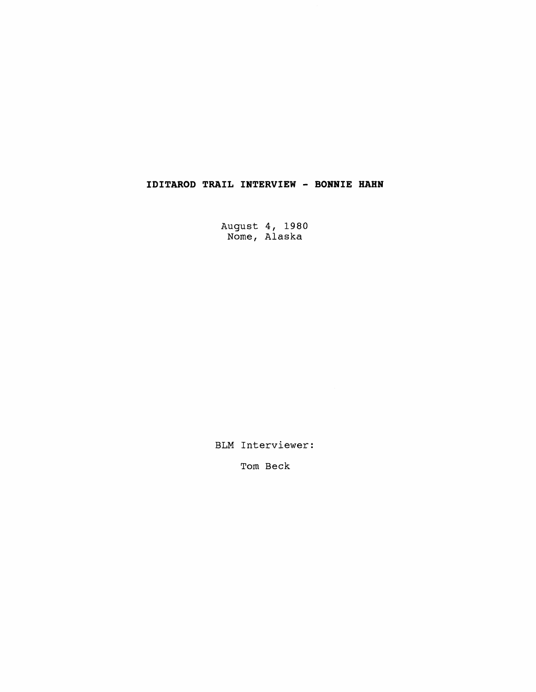## **IDITAROD TRAIL INTERVIEW** - **BONNIE HAHN**

August 4, 1980 Nome, Alaska

BLM Interviewer:

Tom Beck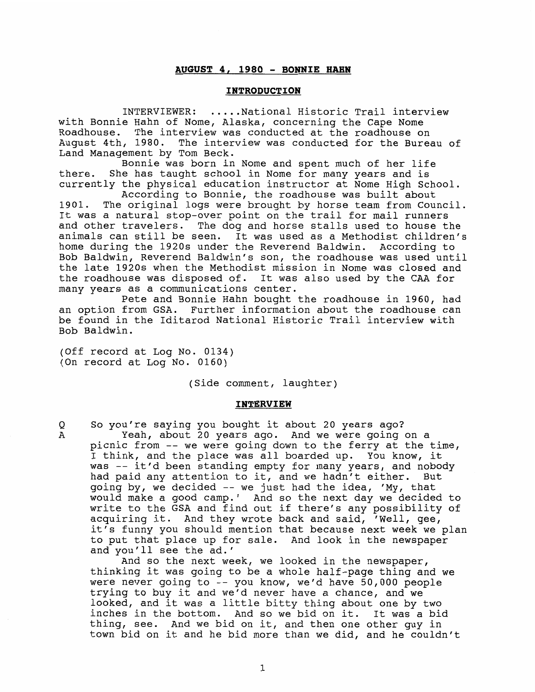## **AUGUST 4, <sup>1980</sup>**- **BONNIE HAHN**

## **INTRODUCTION**

INTERVIEWER: ..... National Historic Trail interview with Bonnie Hahn of Nome, Alaska, concerning the Cape Nome Roadhouse. The interview was conducted at the roadhouse on August 4th, 1980. The interview was conducted for the Bureau of Land Management by Tom Beck.

Bonnie was born in Nome and spent much of her life there. She has taught school in Nome for many years and is currently the physical education instructor at Nome High School.

According to Bonnie, the roadhouse was built about 1901. The original logs were brought by horse team from Council. It was a natural stop-over point on the trail for mail runners and other travelers. The dog and horse stalls used to house the animals can still be seen. It was used as a Methodist children's home during the 1920s under the Reverend Baldwin. According to Bob Baldwin, Reverend Baldwin's son, the roadhouse was used until the late 1920s when the Methodist mission in Nome was closed and the roadhouse was disposed of. It was also used by the CAA for many years as a communications center.

Pete and Bonnie Hahn bought the roadhouse in 1960, had an option from GSA. Further information about the roadhouse can be found in the Iditarod National Historic Trail interview with Bob Baldwin.

(Off record at Log No. 0134) (On record at Log No. 0160)

(Side comment, laughter)

## **INTERVIEW**

**Q** So you're saying you bought it about 20 years ago? A Yeah, about 20 years ago. And we were going on a picnic from -- we were going down to the ferry at the time, **I** think, and the place was all boarded up. You know, it was -- it'd been standing empty for many years, and nobody had paid any attention to it, and we hadn't either. But going by, we decided -- we just had the idea, 'My, that would make a good camp.' And so the next day we decided to write to the GSA and find out if there's any possibility of acquiring it. And they wrote back and said, 'Well, gee, it's funny you should mention that because next week we plan to put that place up for sale. And look in the newspaper and you'll see the ad.'

And so the next week, we looked in the newspaper, thinking it was going to be a whole half-page thing and we were never going to -- you know, we'd have 50,000 people trying to buy it and we'd never have a chance, and we looked, and it was a little bitty thing about one by two inches in the bottom. And so we bid on it. It was a bid thing, see. And we bid on it, and then one other guy in town bid on it and he bid more than we did, and he couldn't

 $\mathbf{1}$